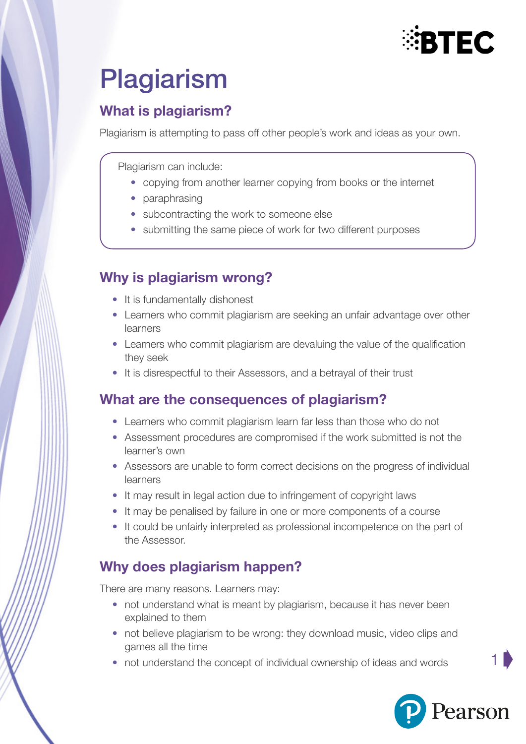

# Plagiarism

## What is plagiarism?

Plagiarism is attempting to pass off other people's work and ideas as your own.

Plagiarism can include:

- copying from another learner copying from books or the internet
- paraphrasing
- subcontracting the work to someone else
- submitting the same piece of work for two different purposes

#### Why is plagiarism wrong?

- It is fundamentally dishonest
- Learners who commit plagiarism are seeking an unfair advantage over other learners
- Learners who commit plagiarism are devaluing the value of the qualification they seek
- It is disrespectful to their Assessors, and a betrayal of their trust

#### What are the consequences of plagiarism?

- Learners who commit plagiarism learn far less than those who do not
- Assessment procedures are compromised if the work submitted is not the learner's own
- Assessors are unable to form correct decisions on the progress of individual learners
- It may result in legal action due to infringement of copyright laws
- It may be penalised by failure in one or more components of a course
- It could be unfairly interpreted as professional incompetence on the part of the Assessor.

## Why does plagiarism happen?

There are many reasons. Learners may:

- not understand what is meant by plagiarism, because it has never been explained to them
- not believe plagiarism to be wrong: they download music, video clips and games all the time
- not understand the concept of individual ownership of ideas and words



1 ➧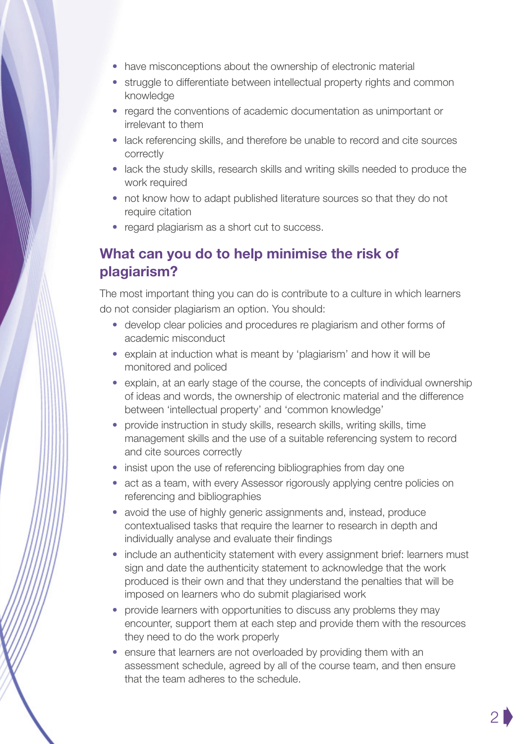- have misconceptions about the ownership of electronic material
- struggle to differentiate between intellectual property rights and common knowledge
- regard the conventions of academic documentation as unimportant or irrelevant to them
- lack referencing skills, and therefore be unable to record and cite sources correctly
- lack the study skills, research skills and writing skills needed to produce the work required
- not know how to adapt published literature sources so that they do not require citation
- regard plagiarism as a short cut to success.

#### What can you do to help minimise the risk of plagiarism?

The most important thing you can do is contribute to a culture in which learners do not consider plagiarism an option. You should:

- develop clear policies and procedures re plagiarism and other forms of academic misconduct
- explain at induction what is meant by 'plagiarism' and how it will be monitored and policed
- explain, at an early stage of the course, the concepts of individual ownership of ideas and words, the ownership of electronic material and the difference between 'intellectual property' and 'common knowledge'
- provide instruction in study skills, research skills, writing skills, time management skills and the use of a suitable referencing system to record and cite sources correctly
- insist upon the use of referencing bibliographies from day one
- act as a team, with every Assessor rigorously applying centre policies on referencing and bibliographies
- avoid the use of highly generic assignments and, instead, produce contextualised tasks that require the learner to research in depth and individually analyse and evaluate their findings
- include an authenticity statement with every assignment brief: learners must sign and date the authenticity statement to acknowledge that the work produced is their own and that they understand the penalties that will be imposed on learners who do submit plagiarised work
- provide learners with opportunities to discuss any problems they may encounter, support them at each step and provide them with the resources they need to do the work properly
- ensure that learners are not overloaded by providing them with an assessment schedule, agreed by all of the course team, and then ensure that the team adheres to the schedule.